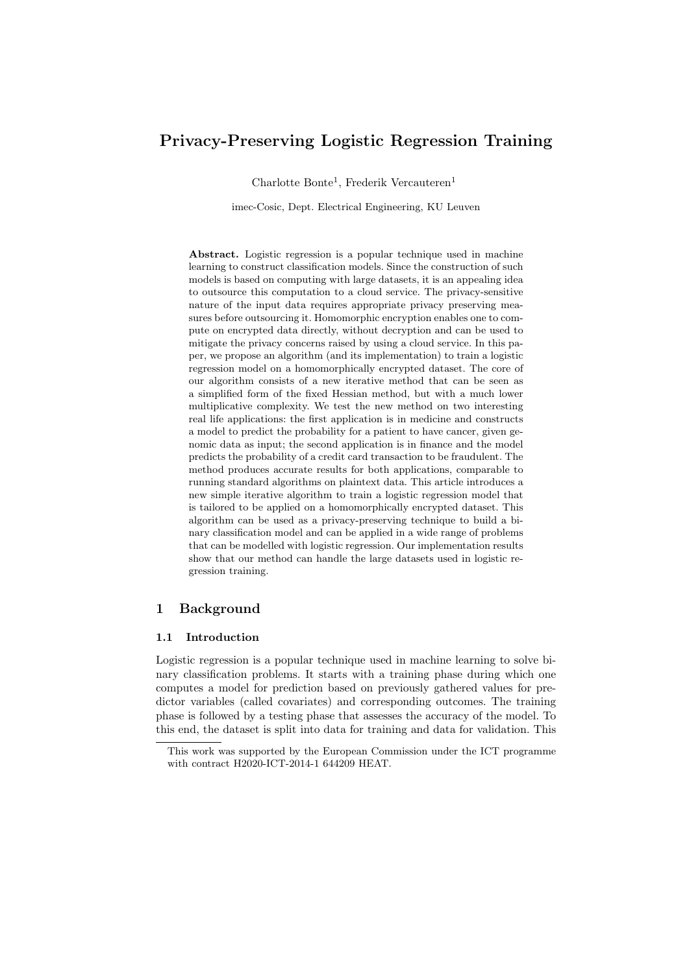# Privacy-Preserving Logistic Regression Training

Charlotte Bonte<sup>1</sup>, Frederik Vercauteren<sup>1</sup>

imec-Cosic, Dept. Electrical Engineering, KU Leuven

Abstract. Logistic regression is a popular technique used in machine learning to construct classification models. Since the construction of such models is based on computing with large datasets, it is an appealing idea to outsource this computation to a cloud service. The privacy-sensitive nature of the input data requires appropriate privacy preserving measures before outsourcing it. Homomorphic encryption enables one to compute on encrypted data directly, without decryption and can be used to mitigate the privacy concerns raised by using a cloud service. In this paper, we propose an algorithm (and its implementation) to train a logistic regression model on a homomorphically encrypted dataset. The core of our algorithm consists of a new iterative method that can be seen as a simplified form of the fixed Hessian method, but with a much lower multiplicative complexity. We test the new method on two interesting real life applications: the first application is in medicine and constructs a model to predict the probability for a patient to have cancer, given genomic data as input; the second application is in finance and the model predicts the probability of a credit card transaction to be fraudulent. The method produces accurate results for both applications, comparable to running standard algorithms on plaintext data. This article introduces a new simple iterative algorithm to train a logistic regression model that is tailored to be applied on a homomorphically encrypted dataset. This algorithm can be used as a privacy-preserving technique to build a binary classification model and can be applied in a wide range of problems that can be modelled with logistic regression. Our implementation results show that our method can handle the large datasets used in logistic regression training.

### 1 Background

#### 1.1 Introduction

Logistic regression is a popular technique used in machine learning to solve binary classification problems. It starts with a training phase during which one computes a model for prediction based on previously gathered values for predictor variables (called covariates) and corresponding outcomes. The training phase is followed by a testing phase that assesses the accuracy of the model. To this end, the dataset is split into data for training and data for validation. This

This work was supported by the European Commission under the ICT programme with contract H2020-ICT-2014-1 644209 HEAT.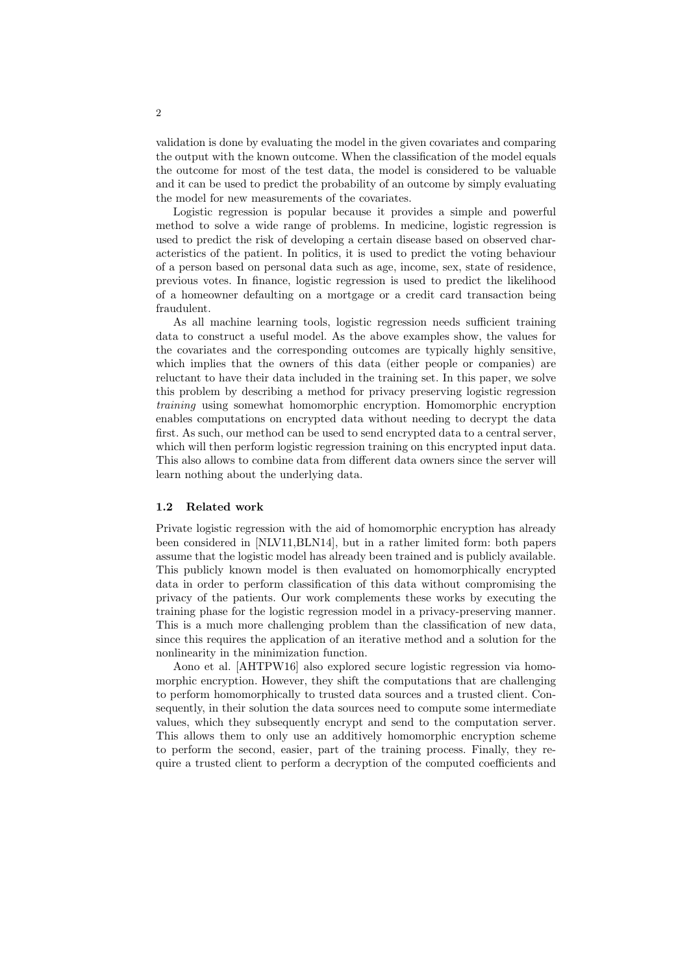validation is done by evaluating the model in the given covariates and comparing the output with the known outcome. When the classification of the model equals the outcome for most of the test data, the model is considered to be valuable and it can be used to predict the probability of an outcome by simply evaluating the model for new measurements of the covariates.

Logistic regression is popular because it provides a simple and powerful method to solve a wide range of problems. In medicine, logistic regression is used to predict the risk of developing a certain disease based on observed characteristics of the patient. In politics, it is used to predict the voting behaviour of a person based on personal data such as age, income, sex, state of residence, previous votes. In finance, logistic regression is used to predict the likelihood of a homeowner defaulting on a mortgage or a credit card transaction being fraudulent.

As all machine learning tools, logistic regression needs sufficient training data to construct a useful model. As the above examples show, the values for the covariates and the corresponding outcomes are typically highly sensitive, which implies that the owners of this data (either people or companies) are reluctant to have their data included in the training set. In this paper, we solve this problem by describing a method for privacy preserving logistic regression training using somewhat homomorphic encryption. Homomorphic encryption enables computations on encrypted data without needing to decrypt the data first. As such, our method can be used to send encrypted data to a central server, which will then perform logistic regression training on this encrypted input data. This also allows to combine data from different data owners since the server will learn nothing about the underlying data.

#### 1.2 Related work

Private logistic regression with the aid of homomorphic encryption has already been considered in [NLV11,BLN14], but in a rather limited form: both papers assume that the logistic model has already been trained and is publicly available. This publicly known model is then evaluated on homomorphically encrypted data in order to perform classification of this data without compromising the privacy of the patients. Our work complements these works by executing the training phase for the logistic regression model in a privacy-preserving manner. This is a much more challenging problem than the classification of new data, since this requires the application of an iterative method and a solution for the nonlinearity in the minimization function.

Aono et al. [AHTPW16] also explored secure logistic regression via homomorphic encryption. However, they shift the computations that are challenging to perform homomorphically to trusted data sources and a trusted client. Consequently, in their solution the data sources need to compute some intermediate values, which they subsequently encrypt and send to the computation server. This allows them to only use an additively homomorphic encryption scheme to perform the second, easier, part of the training process. Finally, they require a trusted client to perform a decryption of the computed coefficients and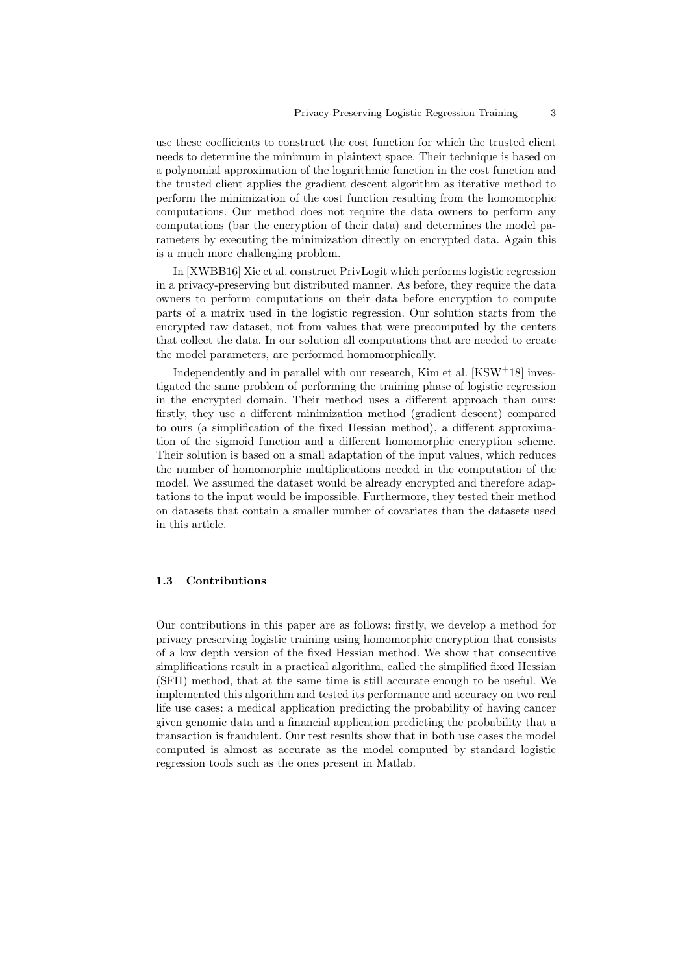use these coefficients to construct the cost function for which the trusted client needs to determine the minimum in plaintext space. Their technique is based on a polynomial approximation of the logarithmic function in the cost function and the trusted client applies the gradient descent algorithm as iterative method to perform the minimization of the cost function resulting from the homomorphic computations. Our method does not require the data owners to perform any computations (bar the encryption of their data) and determines the model parameters by executing the minimization directly on encrypted data. Again this is a much more challenging problem.

In [XWBB16] Xie et al. construct PrivLogit which performs logistic regression in a privacy-preserving but distributed manner. As before, they require the data owners to perform computations on their data before encryption to compute parts of a matrix used in the logistic regression. Our solution starts from the encrypted raw dataset, not from values that were precomputed by the centers that collect the data. In our solution all computations that are needed to create the model parameters, are performed homomorphically.

Independently and in parallel with our research, Kim et al.  $[KSW<sup>+</sup>18]$  investigated the same problem of performing the training phase of logistic regression in the encrypted domain. Their method uses a different approach than ours: firstly, they use a different minimization method (gradient descent) compared to ours (a simplification of the fixed Hessian method), a different approximation of the sigmoid function and a different homomorphic encryption scheme. Their solution is based on a small adaptation of the input values, which reduces the number of homomorphic multiplications needed in the computation of the model. We assumed the dataset would be already encrypted and therefore adaptations to the input would be impossible. Furthermore, they tested their method on datasets that contain a smaller number of covariates than the datasets used in this article.

### 1.3 Contributions

Our contributions in this paper are as follows: firstly, we develop a method for privacy preserving logistic training using homomorphic encryption that consists of a low depth version of the fixed Hessian method. We show that consecutive simplifications result in a practical algorithm, called the simplified fixed Hessian (SFH) method, that at the same time is still accurate enough to be useful. We implemented this algorithm and tested its performance and accuracy on two real life use cases: a medical application predicting the probability of having cancer given genomic data and a financial application predicting the probability that a transaction is fraudulent. Our test results show that in both use cases the model computed is almost as accurate as the model computed by standard logistic regression tools such as the ones present in Matlab.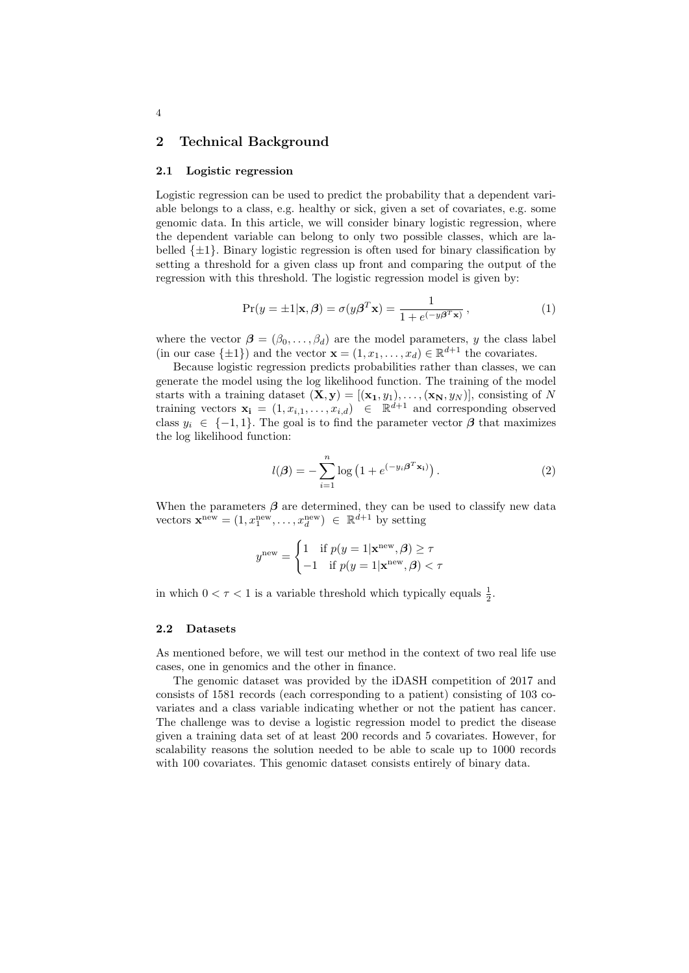# 2 Technical Background

#### 2.1 Logistic regression

Logistic regression can be used to predict the probability that a dependent variable belongs to a class, e.g. healthy or sick, given a set of covariates, e.g. some genomic data. In this article, we will consider binary logistic regression, where the dependent variable can belong to only two possible classes, which are labelled  $\{\pm 1\}$ . Binary logistic regression is often used for binary classification by setting a threshold for a given class up front and comparing the output of the regression with this threshold. The logistic regression model is given by:

$$
\Pr(y = \pm 1 | \mathbf{x}, \beta) = \sigma(y\beta^T \mathbf{x}) = \frac{1}{1 + e^{(-y\beta^T \mathbf{x})}},
$$
\n(1)

where the vector  $\boldsymbol{\beta} = (\beta_0, \ldots, \beta_d)$  are the model parameters, y the class label (in our case  $\{\pm 1\}$ ) and the vector  $\mathbf{x} = (1, x_1, \dots, x_d) \in \mathbb{R}^{d+1}$  the covariates.

Because logistic regression predicts probabilities rather than classes, we can generate the model using the log likelihood function. The training of the model starts with a training dataset  $(\mathbf{X}, \mathbf{y}) = [(\mathbf{x_1}, y_1), \dots, (\mathbf{x_N}, y_N)]$ , consisting of N training vectors  $\mathbf{x_i} = (1, x_{i,1}, \dots, x_{i,d}) \in \mathbb{R}^{d+1}$  and corresponding observed class  $y_i \in \{-1, 1\}$ . The goal is to find the parameter vector  $\beta$  that maximizes the log likelihood function:

$$
l(\boldsymbol{\beta}) = -\sum_{i=1}^{n} \log \left( 1 + e^{(-y_i \boldsymbol{\beta}^T \mathbf{x}_i)} \right).
$$
 (2)

When the parameters  $\beta$  are determined, they can be used to classify new data vectors  $\mathbf{x}^{\text{new}} = (1, x_1^{\text{new}}, \dots, x_d^{\text{new}}) \in \mathbb{R}^{d+1}$  by setting

$$
y^{\text{new}} = \begin{cases} 1 & \text{if } p(y = 1 | \mathbf{x}^{\text{new}}, \mathbf{\beta}) \ge \tau \\ -1 & \text{if } p(y = 1 | \mathbf{x}^{\text{new}}, \mathbf{\beta}) < \tau \end{cases}
$$

in which  $0 < \tau < 1$  is a variable threshold which typically equals  $\frac{1}{2}$ .

#### 2.2 Datasets

As mentioned before, we will test our method in the context of two real life use cases, one in genomics and the other in finance.

The genomic dataset was provided by the iDASH competition of 2017 and consists of 1581 records (each corresponding to a patient) consisting of 103 covariates and a class variable indicating whether or not the patient has cancer. The challenge was to devise a logistic regression model to predict the disease given a training data set of at least 200 records and 5 covariates. However, for scalability reasons the solution needed to be able to scale up to 1000 records with 100 covariates. This genomic dataset consists entirely of binary data.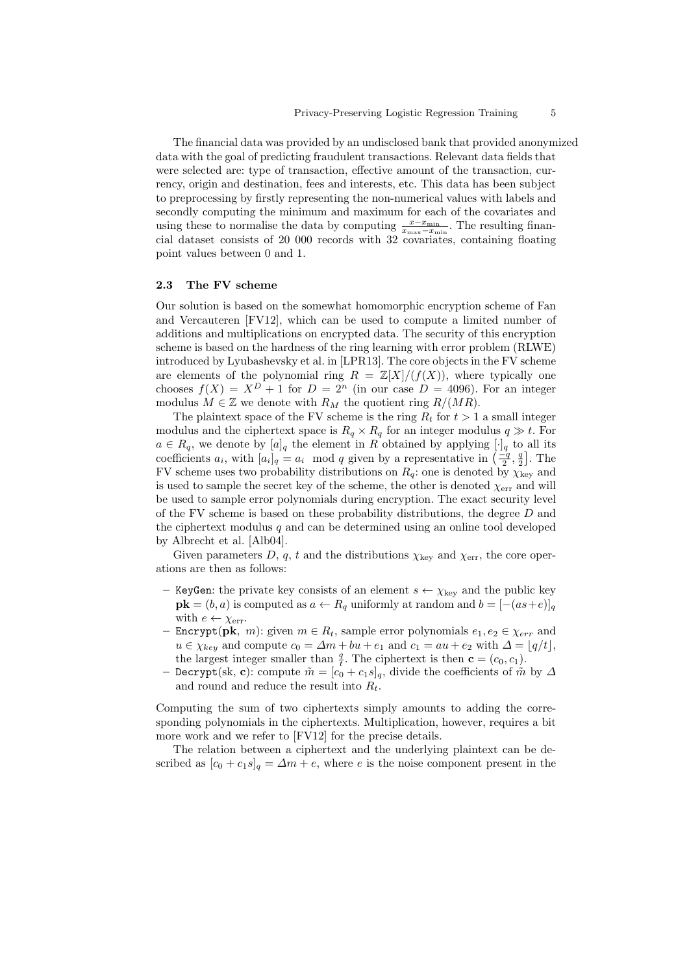The financial data was provided by an undisclosed bank that provided anonymized data with the goal of predicting fraudulent transactions. Relevant data fields that were selected are: type of transaction, effective amount of the transaction, currency, origin and destination, fees and interests, etc. This data has been subject to preprocessing by firstly representing the non-numerical values with labels and secondly computing the minimum and maximum for each of the covariates and using these to normalise the data by computing  $\frac{x-x_{\min}}{x_{\max}-x_{\min}}$ . The resulting financial dataset consists of 20 000 records with 32 covariates, containing floating point values between 0 and 1.

### 2.3 The FV scheme

Our solution is based on the somewhat homomorphic encryption scheme of Fan and Vercauteren [FV12], which can be used to compute a limited number of additions and multiplications on encrypted data. The security of this encryption scheme is based on the hardness of the ring learning with error problem (RLWE) introduced by Lyubashevsky et al. in [LPR13]. The core objects in the FV scheme are elements of the polynomial ring  $R = \mathbb{Z}[X]/(f(X))$ , where typically one chooses  $f(X) = X^D + 1$  for  $D = 2^n$  (in our case  $D = 4096$ ). For an integer modulus  $M \in \mathbb{Z}$  we denote with  $R_M$  the quotient ring  $R/(MR)$ .

The plaintext space of the FV scheme is the ring  $R_t$  for  $t > 1$  a small integer modulus and the ciphertext space is  $R_q \times R_q$  for an integer modulus  $q \gg t$ . For  $a \in R_q$ , we denote by  $[a]_q$  the element in R obtained by applying  $[\cdot]_q$  to all its coefficients  $a_i$ , with  $[a_i]_q = a_i \mod q$  given by a representative in  $\left(\frac{-q}{2}, \frac{q}{2}\right]$ . The FV scheme uses two probability distributions on  $R_q$ : one is denoted by  $\chi_{\text{key}}$  and is used to sample the secret key of the scheme, the other is denoted  $\chi_{err}$  and will be used to sample error polynomials during encryption. The exact security level of the FV scheme is based on these probability distributions, the degree D and the ciphertext modulus  $q$  and can be determined using an online tool developed by Albrecht et al. [Alb04].

Given parameters D, q, t and the distributions  $\chi_{\text{key}}$  and  $\chi_{\text{err}}$ , the core operations are then as follows:

- KeyGen: the private key consists of an element  $s \leftarrow \chi_{\text{key}}$  and the public key  $\mathbf{pk} = (b, a)$  is computed as  $a \leftarrow R_q$  uniformly at random and  $b = [-(as+e)]_q$ with  $e \leftarrow \chi_{\text{err}}$ .
- Encrypt(pk, m): given  $m \in R_t$ , sample error polynomials  $e_1, e_2 \in \chi_{err}$  and  $u \in \chi_{key}$  and compute  $c_0 = \Delta m + bu + e_1$  and  $c_1 = au + e_2$  with  $\Delta = |q/t|$ , the largest integer smaller than  $\frac{q}{t}$ . The ciphertext is then  $\mathbf{c} = (c_0, c_1)$ .
- Decrypt(sk, c): compute  $\tilde{m} = [c_0 + c_1 s]_q$ , divide the coefficients of  $\tilde{m}$  by  $\Delta$ and round and reduce the result into  $R_t$ .

Computing the sum of two ciphertexts simply amounts to adding the corresponding polynomials in the ciphertexts. Multiplication, however, requires a bit more work and we refer to [FV12] for the precise details.

The relation between a ciphertext and the underlying plaintext can be described as  $[c_0 + c_1 s]_q = \Delta m + e$ , where e is the noise component present in the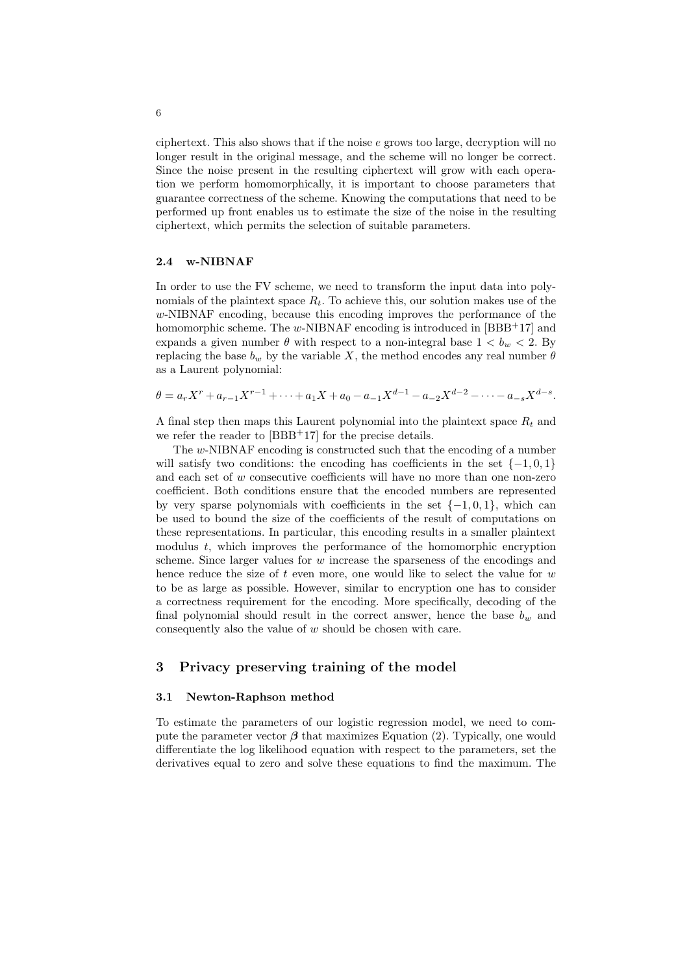ciphertext. This also shows that if the noise  $e$  grows too large, decryption will no longer result in the original message, and the scheme will no longer be correct. Since the noise present in the resulting ciphertext will grow with each operation we perform homomorphically, it is important to choose parameters that guarantee correctness of the scheme. Knowing the computations that need to be performed up front enables us to estimate the size of the noise in the resulting ciphertext, which permits the selection of suitable parameters.

#### 2.4 w-NIBNAF

In order to use the FV scheme, we need to transform the input data into polynomials of the plaintext space  $R_t$ . To achieve this, our solution makes use of the  $w$ -NIBNAF encoding, because this encoding improves the performance of the homomorphic scheme. The  $w$ -NIBNAF encoding is introduced in  $[BBB<sup>+</sup>17]$  and expands a given number  $\theta$  with respect to a non-integral base  $1 < b_w < 2$ . By replacing the base  $b_w$  by the variable X, the method encodes any real number  $\theta$ as a Laurent polynomial:

 $\theta = a_r X^r + a_{r-1} X^{r-1} + \dots + a_1 X + a_0 - a_{-1} X^{d-1} - a_{-2} X^{d-2} - \dots - a_{-s} X^{d-s}.$ 

A final step then maps this Laurent polynomial into the plaintext space  $R_t$  and we refer the reader to  $[BBB+17]$  for the precise details.

The w-NIBNAF encoding is constructed such that the encoding of a number will satisfy two conditions: the encoding has coefficients in the set  $\{-1, 0, 1\}$ and each set of  $w$  consecutive coefficients will have no more than one non-zero coefficient. Both conditions ensure that the encoded numbers are represented by very sparse polynomials with coefficients in the set  $\{-1,0,1\}$ , which can be used to bound the size of the coefficients of the result of computations on these representations. In particular, this encoding results in a smaller plaintext modulus  $t$ , which improves the performance of the homomorphic encryption scheme. Since larger values for  $w$  increase the sparseness of the encodings and hence reduce the size of  $t$  even more, one would like to select the value for  $w$ to be as large as possible. However, similar to encryption one has to consider a correctness requirement for the encoding. More specifically, decoding of the final polynomial should result in the correct answer, hence the base  $b_w$  and consequently also the value of w should be chosen with care.

# 3 Privacy preserving training of the model

#### 3.1 Newton-Raphson method

To estimate the parameters of our logistic regression model, we need to compute the parameter vector  $\beta$  that maximizes Equation (2). Typically, one would differentiate the log likelihood equation with respect to the parameters, set the derivatives equal to zero and solve these equations to find the maximum. The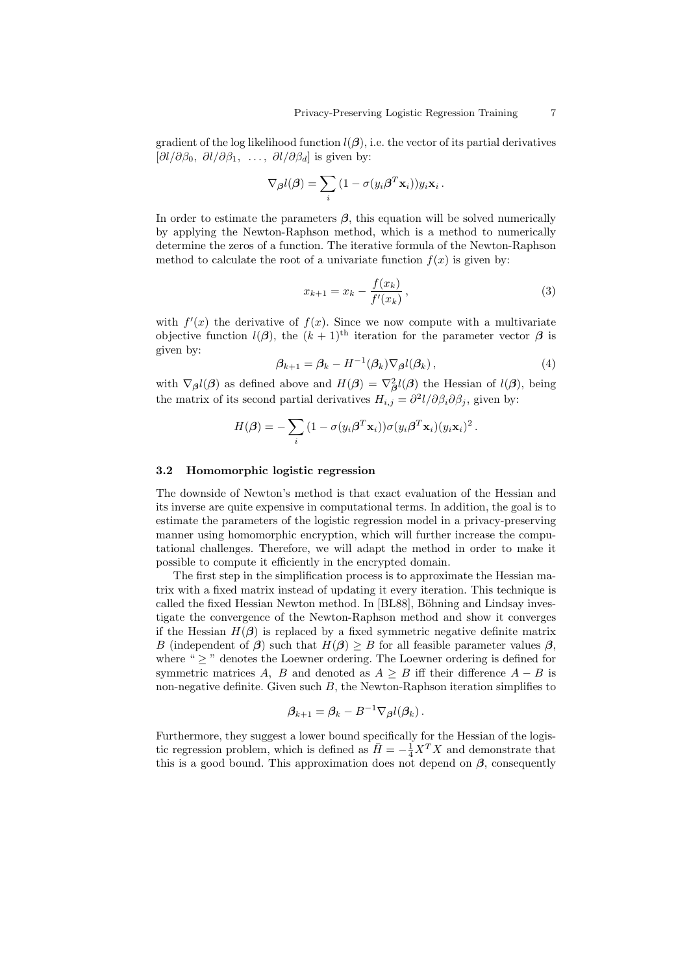gradient of the log likelihood function  $l(\boldsymbol{\beta})$ , i.e. the vector of its partial derivatives  $[\partial l/\partial \beta_0, \partial l/\partial \beta_1, \ldots, \partial l/\partial \beta_d]$  is given by:

$$
\nabla_{\boldsymbol{\beta}}l(\boldsymbol{\beta}) = \sum_i (1 - \sigma(y_i \boldsymbol{\beta}^T \mathbf{x}_i)) y_i \mathbf{x}_i.
$$

In order to estimate the parameters  $\beta$ , this equation will be solved numerically by applying the Newton-Raphson method, which is a method to numerically determine the zeros of a function. The iterative formula of the Newton-Raphson method to calculate the root of a univariate function  $f(x)$  is given by:

$$
x_{k+1} = x_k - \frac{f(x_k)}{f'(x_k)},
$$
\n(3)

with  $f'(x)$  the derivative of  $f(x)$ . Since we now compute with a multivariate objective function  $l(\boldsymbol{\beta})$ , the  $(k+1)^{th}$  iteration for the parameter vector  $\boldsymbol{\beta}$  is given by:

$$
\beta_{k+1} = \beta_k - H^{-1}(\beta_k) \nabla_{\beta} l(\beta_k), \qquad (4)
$$

with  $\nabla_{\beta}l(\beta)$  as defined above and  $H(\beta) = \nabla_{\beta}^2 l(\beta)$  the Hessian of  $l(\beta)$ , being the matrix of its second partial derivatives  $H_{i,j} = \frac{\partial^2 l}{\partial \beta_i \partial \beta_j}$ , given by:

$$
H(\boldsymbol{\beta}) = -\sum_i (1 - \sigma(y_i \boldsymbol{\beta}^T \mathbf{x}_i)) \sigma(y_i \boldsymbol{\beta}^T \mathbf{x}_i) (y_i \mathbf{x}_i)^2.
$$

#### 3.2 Homomorphic logistic regression

The downside of Newton's method is that exact evaluation of the Hessian and its inverse are quite expensive in computational terms. In addition, the goal is to estimate the parameters of the logistic regression model in a privacy-preserving manner using homomorphic encryption, which will further increase the computational challenges. Therefore, we will adapt the method in order to make it possible to compute it efficiently in the encrypted domain.

The first step in the simplification process is to approximate the Hessian matrix with a fixed matrix instead of updating it every iteration. This technique is called the fixed Hessian Newton method. In [BL88], Böhning and Lindsay investigate the convergence of the Newton-Raphson method and show it converges if the Hessian  $H(\beta)$  is replaced by a fixed symmetric negative definite matrix B (independent of  $\beta$ ) such that  $H(\beta) > B$  for all feasible parameter values  $\beta$ , where " $\geq$ " denotes the Loewner ordering. The Loewner ordering is defined for symmetric matrices A, B and denoted as  $A \geq B$  iff their difference  $A - B$  is non-negative definite. Given such  $B$ , the Newton-Raphson iteration simplifies to

$$
\beta_{k+1} = \beta_k - B^{-1} \nabla_{\beta} l(\beta_k).
$$

Furthermore, they suggest a lower bound specifically for the Hessian of the logistic regression problem, which is defined as  $\bar{H} = -\frac{1}{4}X^{T}X$  and demonstrate that this is a good bound. This approximation does not depend on  $\beta$ , consequently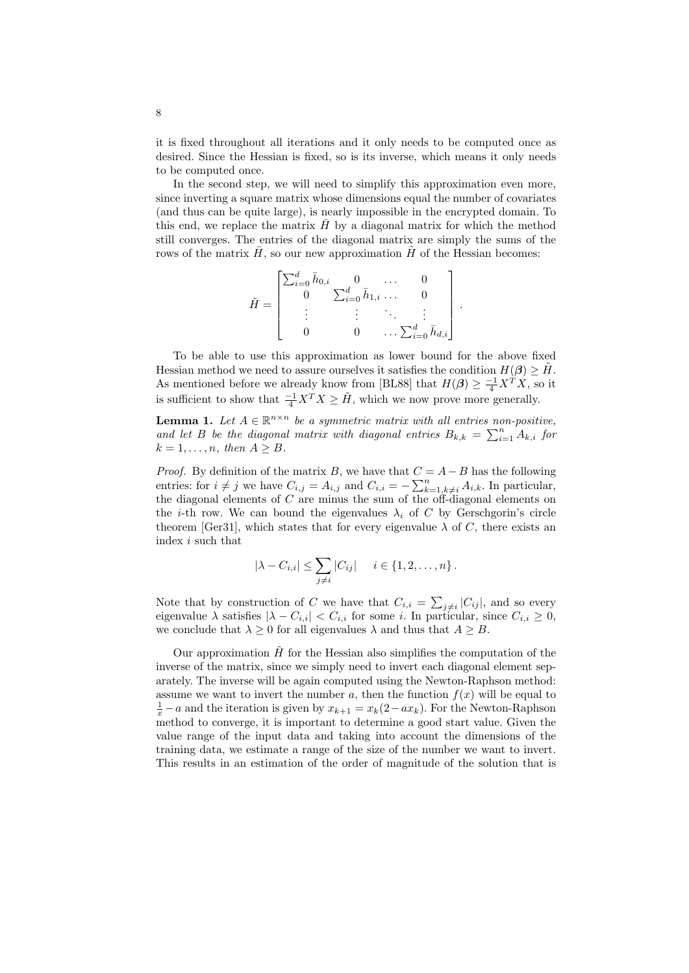it is fixed throughout all iterations and it only needs to be computed once as desired. Since the Hessian is fixed, so is its inverse, which means it only needs to be computed once.

In the second step, we will need to simplify this approximation even more, since inverting a square matrix whose dimensions equal the number of covariates (and thus can be quite large), is nearly impossible in the encrypted domain. To this end, we replace the matrix  $\bar{H}$  by a diagonal matrix for which the method still converges. The entries of the diagonal matrix are simply the sums of the rows of the matrix  $H$ , so our new approximation  $H$  of the Hessian becomes:

$$
\tilde{H} = \begin{bmatrix}\n\sum_{i=0}^{d} \bar{h}_{0,i} & 0 & \dots & 0 \\
0 & \sum_{i=0}^{d} \bar{h}_{1,i} & \dots & 0 \\
\vdots & \vdots & \ddots & \vdots \\
0 & 0 & \dots & \sum_{i=0}^{d} \bar{h}_{d,i}\n\end{bmatrix}
$$

.

To be able to use this approximation as lower bound for the above fixed Hessian method we need to assure ourselves it satisfies the condition  $H(\beta) \geq \tilde{H}$ . As mentioned before we already know from [BL88] that  $H(\beta) \geq \frac{-1}{4}X^T X$ , so it is sufficient to show that  $\frac{-1}{4}X^TX \geq \tilde{H}$ , which we now prove more generally.

**Lemma 1.** Let  $A \in \mathbb{R}^{n \times n}$  be a symmetric matrix with all entries non-positive, and let B be the diagonal matrix with diagonal entries  $B_{k,k} = \sum_{i=1}^{n} A_{k,i}$  for  $k = 1, \ldots, n$ , then  $A \geq B$ .

*Proof.* By definition of the matrix B, we have that  $C = A - B$  has the following entries: for  $i \neq j$  we have  $C_{i,j} = A_{i,j}$  and  $C_{i,i} = -\sum_{k=1, k\neq i}^{n} A_{i,k}$ . In particular, the diagonal elements of  $C$  are minus the sum of the off-diagonal elements on the *i*-th row. We can bound the eigenvalues  $\lambda_i$  of C by Gerschgorin's circle theorem [Ger31], which states that for every eigenvalue  $\lambda$  of C, there exists an index i such that

$$
|\lambda - C_{i,i}| \leq \sum_{j \neq i} |C_{ij}| \quad i \in \{1, 2, \dots, n\}.
$$

Note that by construction of C we have that  $C_{i,i} = \sum_{j \neq i} |C_{ij}|$ , and so every eigenvalue  $\lambda$  satisfies  $|\lambda - C_{i,i}| < C_{i,i}$  for some *i*. In particular, since  $C_{i,i} \geq 0$ , we conclude that  $\lambda \geq 0$  for all eigenvalues  $\lambda$  and thus that  $A \geq B$ .

Our approximation  $\tilde{H}$  for the Hessian also simplifies the computation of the inverse of the matrix, since we simply need to invert each diagonal element separately. The inverse will be again computed using the Newton-Raphson method: assume we want to invert the number a, then the function  $f(x)$  will be equal to  $\frac{1}{x} - a$  and the iteration is given by  $x_{k+1} = x_k(2 - ax_k)$ . For the Newton-Raphson method to converge, it is important to determine a good start value. Given the value range of the input data and taking into account the dimensions of the training data, we estimate a range of the size of the number we want to invert. This results in an estimation of the order of magnitude of the solution that is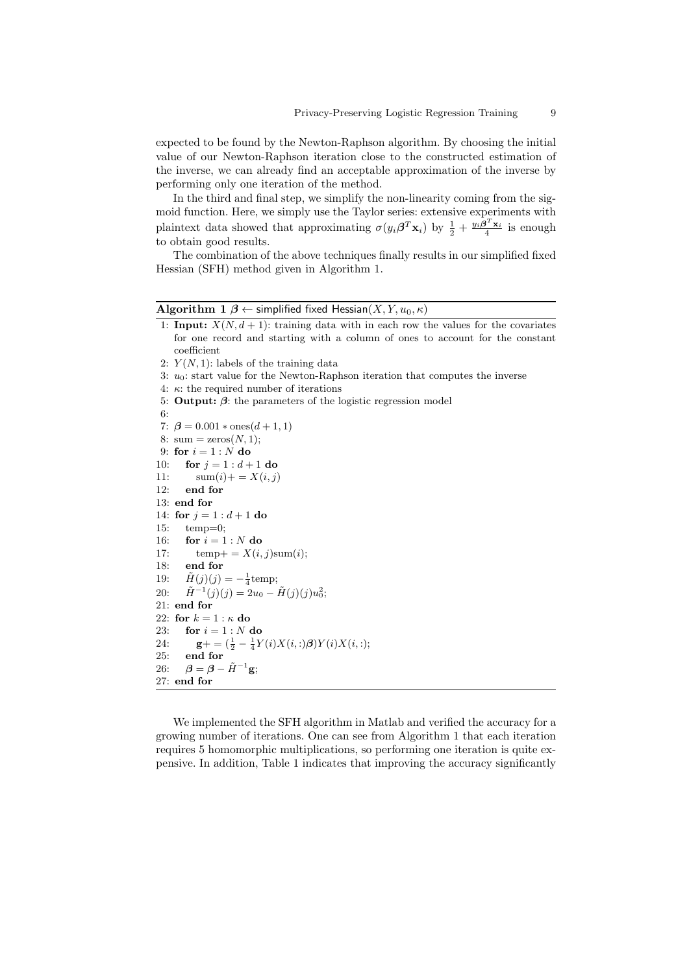expected to be found by the Newton-Raphson algorithm. By choosing the initial value of our Newton-Raphson iteration close to the constructed estimation of the inverse, we can already find an acceptable approximation of the inverse by performing only one iteration of the method.

In the third and final step, we simplify the non-linearity coming from the sigmoid function. Here, we simply use the Taylor series: extensive experiments with plaintext data showed that approximating  $\sigma(y_i \beta^T \mathbf{x}_i)$  by  $\frac{1}{2} + \frac{y_i \beta^T \mathbf{x}_i}{4}$  is enough to obtain good results.

The combination of the above techniques finally results in our simplified fixed Hessian (SFH) method given in Algorithm 1.

### Algorithm 1  $\beta$  ← simplified fixed Hessian(X, Y,  $u_0, \kappa$ )

- 1: **Input:**  $X(N, d+1)$ : training data with in each row the values for the covariates for one record and starting with a column of ones to account for the constant coefficient
- 2:  $Y(N, 1)$ : labels of the training data
- 3:  $u_0$ : start value for the Newton-Raphson iteration that computes the inverse
- 4:  $\kappa$ : the required number of iterations
- 5: **Output:**  $\beta$ : the parameters of the logistic regression model

```
6:
 7: \beta = 0.001 * \text{ones}(d+1, 1)8: sum = zeros(N, 1);
9: for i = 1 : N do
10: for j = 1 : d + 1 do
11: sum(i, j)12: end for
13: end for
14: for j = 1 : d + 1 do
15: temp=0;
16: for i = 1 : N do
17: temp+=X(i, j)sum(i);18: end for
19: \tilde{H}(j)(j) = -\frac{1}{4} \text{temp};20: \tilde{H}^{-1}(j)(j) = 2u_0 - \tilde{H}(j)(j)u_0^2;21: end for
22: for k = 1 : \kappa do
23: for i = 1 : N do
24: \mathbf{g} + = \left(\frac{1}{2} - \frac{1}{4}Y(i)X(i, :)\beta\right)Y(i)X(i, :);25: end for
26: \beta = \beta - \tilde{H}^{-1}g;
27: end for
```
We implemented the SFH algorithm in Matlab and verified the accuracy for a growing number of iterations. One can see from Algorithm 1 that each iteration requires 5 homomorphic multiplications, so performing one iteration is quite expensive. In addition, Table 1 indicates that improving the accuracy significantly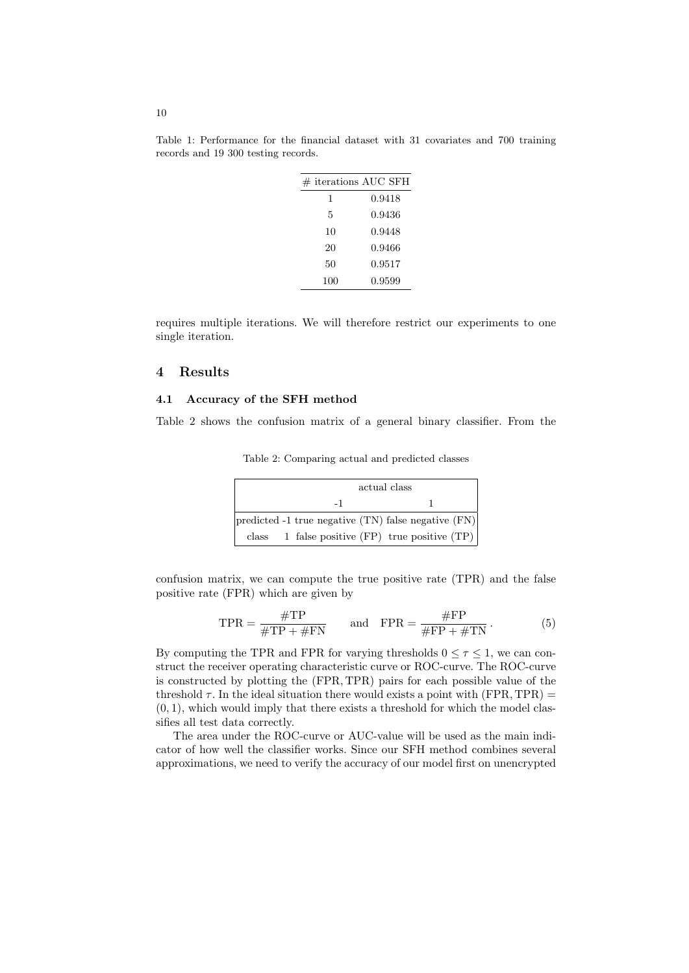|     | $\#$ iterations AUC SFH |
|-----|-------------------------|
| 1   | 0.9418                  |
| 5   | 0.9436                  |
| 10  | 0.9448                  |
| 20  | 0.9466                  |
| 50  | 0.9517                  |
| 100 | 0.9599                  |

Table 1: Performance for the financial dataset with 31 covariates and 700 training records and 19 300 testing records.

requires multiple iterations. We will therefore restrict our experiments to one single iteration.

# 4 Results

# 4.1 Accuracy of the SFH method

Table 2 shows the confusion matrix of a general binary classifier. From the

| actual class                                        |  |
|-----------------------------------------------------|--|
| - 1                                                 |  |
| predicted -1 true negative (TN) false negative (FN) |  |
| class 1 false positive $(FP)$ true positive $(TP)$  |  |

Table 2: Comparing actual and predicted classes

confusion matrix, we can compute the true positive rate (TPR) and the false positive rate (FPR) which are given by

$$
TPR = \frac{\#TP}{\#TP + \#FN} \qquad \text{and} \quad FPR = \frac{\#FP}{\#FP + \#TN} \,. \tag{5}
$$

By computing the TPR and FPR for varying thresholds  $0 \leq \tau \leq 1$ , we can construct the receiver operating characteristic curve or ROC-curve. The ROC-curve is constructed by plotting the (FPR, TPR) pairs for each possible value of the threshold  $\tau$ . In the ideal situation there would exists a point with (FPR, TPR) =  $(0, 1)$ , which would imply that there exists a threshold for which the model classifies all test data correctly.

The area under the ROC-curve or AUC-value will be used as the main indicator of how well the classifier works. Since our SFH method combines several approximations, we need to verify the accuracy of our model first on unencrypted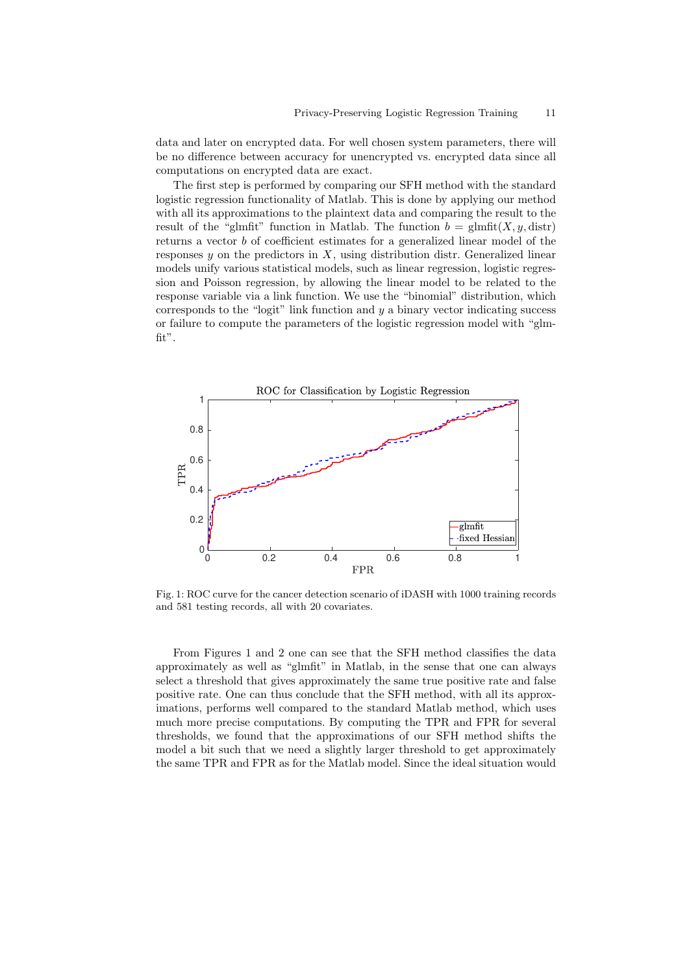data and later on encrypted data. For well chosen system parameters, there will be no difference between accuracy for unencrypted vs. encrypted data since all computations on encrypted data are exact.

The first step is performed by comparing our SFH method with the standard logistic regression functionality of Matlab. This is done by applying our method with all its approximations to the plaintext data and comparing the result to the result of the "glmfit" function in Matlab. The function  $b = \text{glmfit}(X, y, \text{distr})$ returns a vector b of coefficient estimates for a generalized linear model of the responses  $y$  on the predictors in  $X$ , using distribution distr. Generalized linear models unify various statistical models, such as linear regression, logistic regression and Poisson regression, by allowing the linear model to be related to the response variable via a link function. We use the "binomial" distribution, which corresponds to the "logit" link function and  $y$  a binary vector indicating success or failure to compute the parameters of the logistic regression model with "glmfit".



Fig. 1: ROC curve for the cancer detection scenario of iDASH with 1000 training records and 581 testing records, all with 20 covariates.

From Figures 1 and 2 one can see that the SFH method classifies the data approximately as well as "glmfit" in Matlab, in the sense that one can always select a threshold that gives approximately the same true positive rate and false positive rate. One can thus conclude that the SFH method, with all its approximations, performs well compared to the standard Matlab method, which uses much more precise computations. By computing the TPR and FPR for several thresholds, we found that the approximations of our SFH method shifts the model a bit such that we need a slightly larger threshold to get approximately the same TPR and FPR as for the Matlab model. Since the ideal situation would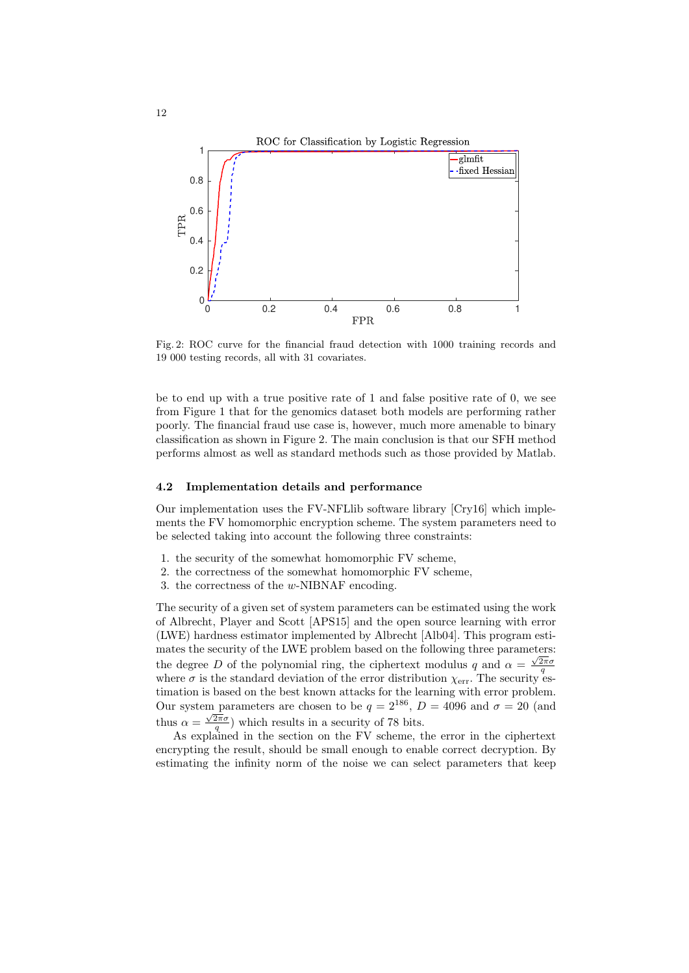

Fig. 2: ROC curve for the financial fraud detection with 1000 training records and 19 000 testing records, all with 31 covariates.

be to end up with a true positive rate of 1 and false positive rate of 0, we see from Figure 1 that for the genomics dataset both models are performing rather poorly. The financial fraud use case is, however, much more amenable to binary classification as shown in Figure 2. The main conclusion is that our SFH method performs almost as well as standard methods such as those provided by Matlab.

### 4.2 Implementation details and performance

Our implementation uses the FV-NFLlib software library [Cry16] which implements the FV homomorphic encryption scheme. The system parameters need to be selected taking into account the following three constraints:

- 1. the security of the somewhat homomorphic FV scheme,
- 2. the correctness of the somewhat homomorphic FV scheme,
- 3. the correctness of the w-NIBNAF encoding.

The security of a given set of system parameters can be estimated using the work of Albrecht, Player and Scott [APS15] and the open source learning with error (LWE) hardness estimator implemented by Albrecht [Alb04]. This program estimates the security of the LWE problem based on the following three parameters: the degree D of the polynomial ring, the ciphertext modulus q and  $\alpha = \frac{\sqrt{2\pi\sigma}}{q}$ where  $\sigma$  is the standard deviation of the error distribution  $\chi_{err}$ . The security estimation is based on the best known attacks for the learning with error problem. Our system parameters are chosen to be  $q = 2^{186}$ ,  $D = 4096$  and  $\sigma = 20$  (and but system parameters are ensure to be  $q = 2$ ,  $\frac{q}{q}$ ,  $\frac{p}{q}$  thus  $\alpha = \frac{\sqrt{2\pi}\sigma}{q}$ ) which results in a security of 78 bits.

As explained in the section on the FV scheme, the error in the ciphertext encrypting the result, should be small enough to enable correct decryption. By estimating the infinity norm of the noise we can select parameters that keep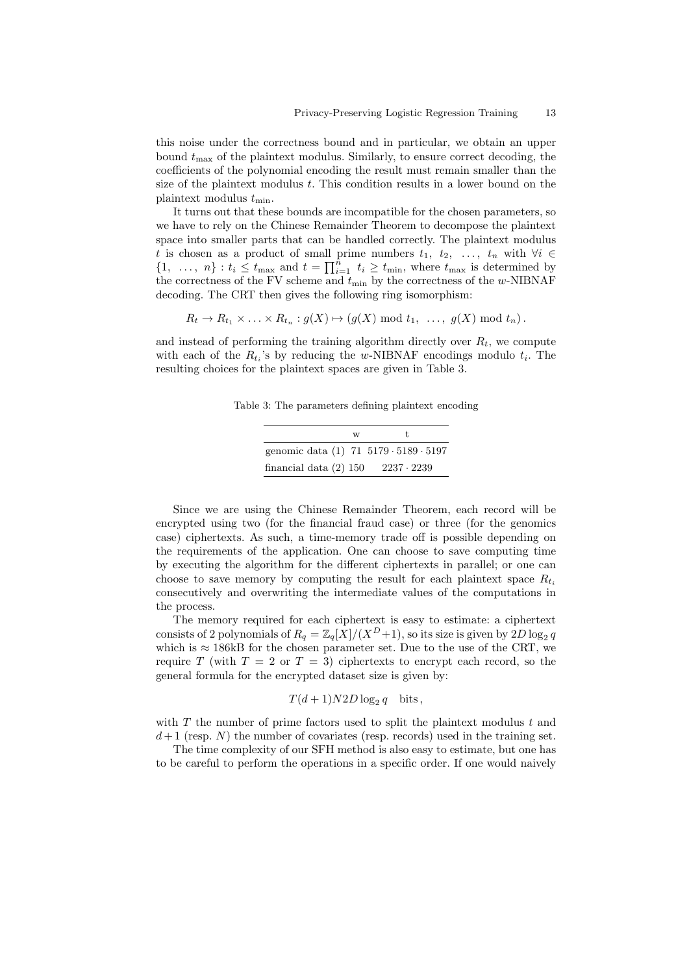this noise under the correctness bound and in particular, we obtain an upper bound  $t_{\text{max}}$  of the plaintext modulus. Similarly, to ensure correct decoding, the coefficients of the polynomial encoding the result must remain smaller than the size of the plaintext modulus  $t$ . This condition results in a lower bound on the plaintext modulus  $t_{\min}$ .

It turns out that these bounds are incompatible for the chosen parameters, so we have to rely on the Chinese Remainder Theorem to decompose the plaintext space into smaller parts that can be handled correctly. The plaintext modulus t is chosen as a product of small prime numbers  $t_1, t_2, \ldots, t_n$  with  $\forall i \in$  $\{1, \ldots, n\} : t_i \leq t_{\max}$  and  $t = \prod_{i=1}^n t_i \geq t_{\min}$ , where  $t_{\max}$  is determined by the correctness of the FV scheme and  $t_{\rm min}$  by the correctness of the  $w\text{-}\text{NIBNAF}$ decoding. The CRT then gives the following ring isomorphism:

 $R_t \to R_{t_1} \times \ldots \times R_{t_n} : g(X) \mapsto (g(X) \bmod t_1, \ldots, g(X) \bmod t_n).$ 

and instead of performing the training algorithm directly over  $R_t$ , we compute with each of the  $R_{t_i}$ 's by reducing the w-NIBNAF encodings modulo  $t_i$ . The resulting choices for the plaintext spaces are given in Table 3.

Table 3: The parameters defining plaintext encoding

|                                        | w | т.                |
|----------------------------------------|---|-------------------|
| genomic data (1) 71 5179 · 5189 · 5197 |   |                   |
| financial data $(2)$ 150               |   | $2237 \cdot 2239$ |

Since we are using the Chinese Remainder Theorem, each record will be encrypted using two (for the financial fraud case) or three (for the genomics case) ciphertexts. As such, a time-memory trade off is possible depending on the requirements of the application. One can choose to save computing time by executing the algorithm for the different ciphertexts in parallel; or one can choose to save memory by computing the result for each plaintext space  $R_{t_i}$ consecutively and overwriting the intermediate values of the computations in the process.

The memory required for each ciphertext is easy to estimate: a ciphertext consists of 2 polynomials of  $R_q = \mathbb{Z}_q[X]/(X^D+1)$ , so its size is given by  $2D \log_2 q$ which is  $\approx 186$ kB for the chosen parameter set. Due to the use of the CRT, we require T (with  $T = 2$  or  $T = 3$ ) ciphertexts to encrypt each record, so the general formula for the encrypted dataset size is given by:

$$
T(d+1)N2D\log_2 q
$$
 bits,

with  $T$  the number of prime factors used to split the plaintext modulus  $t$  and  $d+1$  (resp. N) the number of covariates (resp. records) used in the training set.

The time complexity of our SFH method is also easy to estimate, but one has to be careful to perform the operations in a specific order. If one would naively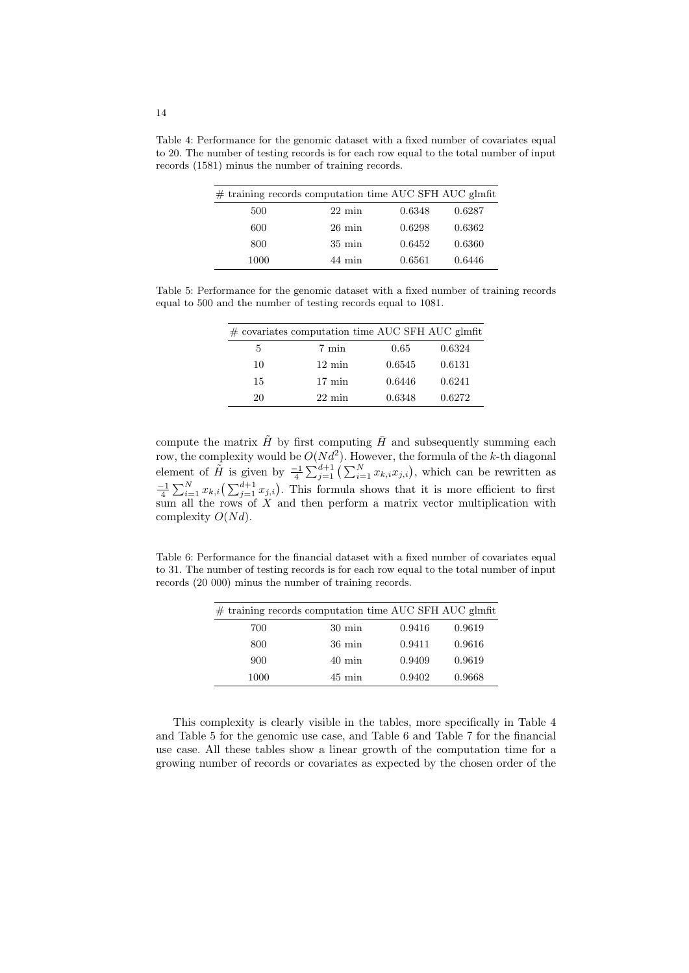Table 4: Performance for the genomic dataset with a fixed number of covariates equal to 20. The number of testing records is for each row equal to the total number of input records (1581) minus the number of training records.

| # training records computation time AUC SFH AUC glmfit |                  |        |        |
|--------------------------------------------------------|------------------|--------|--------|
| 500                                                    | $22 \text{ min}$ | 0.6348 | 0.6287 |
| 600                                                    | $26 \text{ min}$ | 0.6298 | 0.6362 |
| 800                                                    | $35 \text{ min}$ | 0.6452 | 0.6360 |
| 1000                                                   | $44 \text{ min}$ | 0.6561 | 0.6446 |

Table 5: Performance for the genomic dataset with a fixed number of training records equal to 500 and the number of testing records equal to 1081.

|    | # covariates computation time AUC SFH AUC glmfit |        |        |
|----|--------------------------------------------------|--------|--------|
| 5  | 7 min                                            | 0.65   | 0.6324 |
| 10 | $12 \text{ min}$                                 | 0.6545 | 0.6131 |
| 15 | $17 \text{ min}$                                 | 0.6446 | 0.6241 |
| 20 | $22 \text{ min}$                                 | 0.6348 | 0.6272 |

compute the matrix  $\tilde{H}$  by first computing  $\bar{H}$  and subsequently summing each row, the complexity would be  $O(N d^2)$ . However, the formula of the k-th diagonal element of  $\tilde{H}$  is given by  $\frac{-1}{4} \sum_{j=1}^{d+1} \left( \sum_{i=1}^{N} x_{k,i} x_{j,i} \right)$ , which can be rewritten as  $\frac{-1}{4}\sum_{i=1}^N x_{k,i}(\sum_{j=1}^{d+1} x_{j,i}).$  This formula shows that it is more efficient to first sum all the rows of  $X$  and then perform a matrix vector multiplication with complexity  $O(N d)$ .

Table 6: Performance for the financial dataset with a fixed number of covariates equal to 31. The number of testing records is for each row equal to the total number of input records (20 000) minus the number of training records.

| # training records computation time AUC SFH AUC glmfit |                  |        |        |
|--------------------------------------------------------|------------------|--------|--------|
| 700                                                    | $30 \text{ min}$ | 0.9416 | 0.9619 |
| 800                                                    | $36 \text{ min}$ | 0.9411 | 0.9616 |
| 900                                                    | $40 \text{ min}$ | 0.9409 | 0.9619 |
| 1000                                                   | $45 \text{ min}$ | 0.9402 | 0.9668 |

This complexity is clearly visible in the tables, more specifically in Table 4 and Table 5 for the genomic use case, and Table 6 and Table 7 for the financial use case. All these tables show a linear growth of the computation time for a growing number of records or covariates as expected by the chosen order of the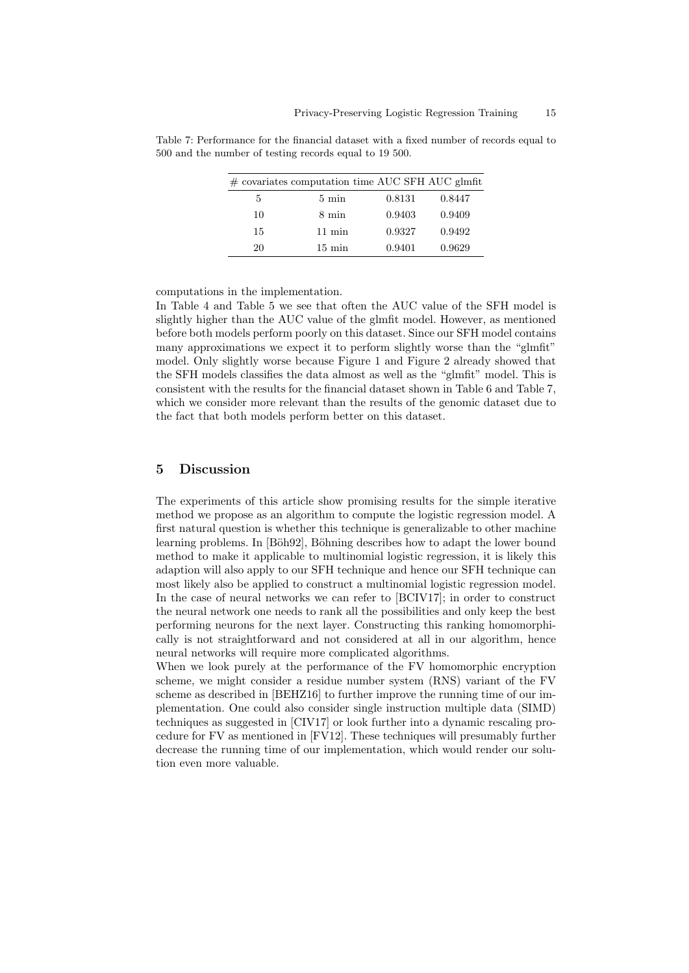|    | $\#$ covariates computation time AUC SFH AUC glmfit |        |        |
|----|-----------------------------------------------------|--------|--------|
| 5. | $5 \text{ min}$                                     | 0.8131 | 0.8447 |
| 10 | 8 min                                               | 0.9403 | 0.9409 |
| 15 | $11 \text{ min}$                                    | 0.9327 | 0.9492 |
| 20 | $15 \text{ min}$                                    | 0.9401 | 0.9629 |

Table 7: Performance for the financial dataset with a fixed number of records equal to 500 and the number of testing records equal to 19 500.

computations in the implementation.

In Table 4 and Table 5 we see that often the AUC value of the SFH model is slightly higher than the AUC value of the glmfit model. However, as mentioned before both models perform poorly on this dataset. Since our SFH model contains many approximations we expect it to perform slightly worse than the "glmfit" model. Only slightly worse because Figure 1 and Figure 2 already showed that the SFH models classifies the data almost as well as the "glmfit" model. This is consistent with the results for the financial dataset shown in Table 6 and Table 7, which we consider more relevant than the results of the genomic dataset due to the fact that both models perform better on this dataset.

# 5 Discussion

The experiments of this article show promising results for the simple iterative method we propose as an algorithm to compute the logistic regression model. A first natural question is whether this technique is generalizable to other machine learning problems. In [Böh92], Böhning describes how to adapt the lower bound method to make it applicable to multinomial logistic regression, it is likely this adaption will also apply to our SFH technique and hence our SFH technique can most likely also be applied to construct a multinomial logistic regression model. In the case of neural networks we can refer to [BCIV17]; in order to construct the neural network one needs to rank all the possibilities and only keep the best performing neurons for the next layer. Constructing this ranking homomorphically is not straightforward and not considered at all in our algorithm, hence neural networks will require more complicated algorithms.

When we look purely at the performance of the FV homomorphic encryption scheme, we might consider a residue number system (RNS) variant of the FV scheme as described in [BEHZ16] to further improve the running time of our implementation. One could also consider single instruction multiple data (SIMD) techniques as suggested in [CIV17] or look further into a dynamic rescaling procedure for FV as mentioned in [FV12]. These techniques will presumably further decrease the running time of our implementation, which would render our solution even more valuable.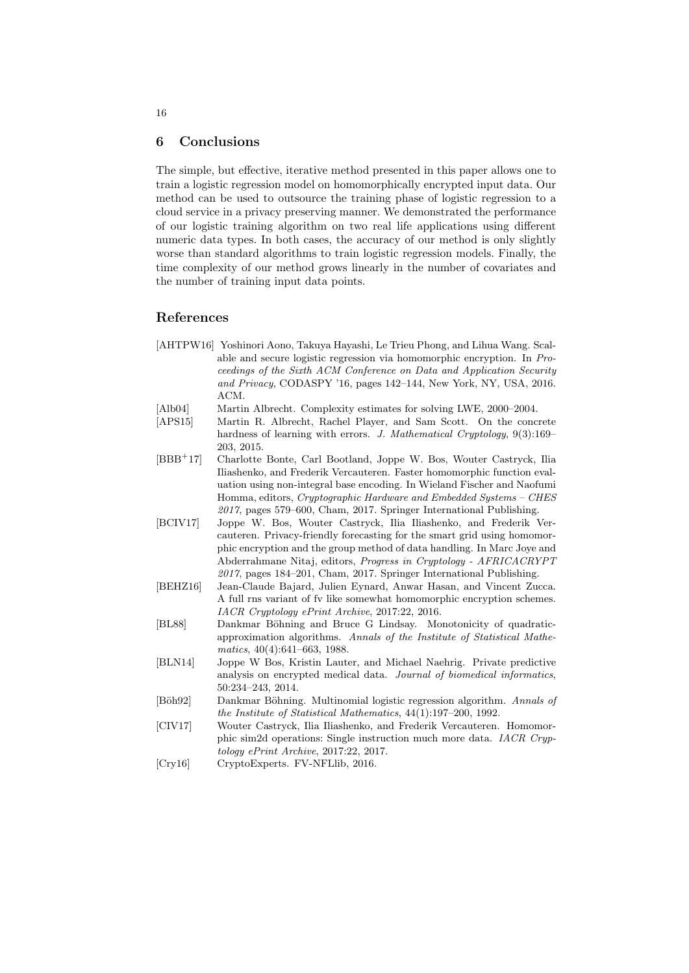### 6 Conclusions

The simple, but effective, iterative method presented in this paper allows one to train a logistic regression model on homomorphically encrypted input data. Our method can be used to outsource the training phase of logistic regression to a cloud service in a privacy preserving manner. We demonstrated the performance of our logistic training algorithm on two real life applications using different numeric data types. In both cases, the accuracy of our method is only slightly worse than standard algorithms to train logistic regression models. Finally, the time complexity of our method grows linearly in the number of covariates and the number of training input data points.

### References

- [AHTPW16] Yoshinori Aono, Takuya Hayashi, Le Trieu Phong, and Lihua Wang. Scalable and secure logistic regression via homomorphic encryption. In Proceedings of the Sixth ACM Conference on Data and Application Security and Privacy, CODASPY '16, pages 142–144, New York, NY, USA, 2016. ACM.
- [Alb04] Martin Albrecht. Complexity estimates for solving LWE, 2000–2004.
- [APS15] Martin R. Albrecht, Rachel Player, and Sam Scott. On the concrete hardness of learning with errors. J. Mathematical Cryptology, 9(3):169– 203, 2015.
- [BBB<sup>+</sup>17] Charlotte Bonte, Carl Bootland, Joppe W. Bos, Wouter Castryck, Ilia Iliashenko, and Frederik Vercauteren. Faster homomorphic function evaluation using non-integral base encoding. In Wieland Fischer and Naofumi Homma, editors, Cryptographic Hardware and Embedded Systems – CHES 2017, pages 579–600, Cham, 2017. Springer International Publishing.
- [BCIV17] Joppe W. Bos, Wouter Castryck, Ilia Iliashenko, and Frederik Vercauteren. Privacy-friendly forecasting for the smart grid using homomorphic encryption and the group method of data handling. In Marc Joye and Abderrahmane Nitaj, editors, Progress in Cryptology - AFRICACRYPT 2017, pages 184–201, Cham, 2017. Springer International Publishing.
- [BEHZ16] Jean-Claude Bajard, Julien Eynard, Anwar Hasan, and Vincent Zucca. A full rns variant of fv like somewhat homomorphic encryption schemes. IACR Cryptology ePrint Archive, 2017:22, 2016.
- [BL88] Dankmar Böhning and Bruce G Lindsay. Monotonicity of quadraticapproximation algorithms. Annals of the Institute of Statistical Mathematics, 40(4):641–663, 1988.
- [BLN14] Joppe W Bos, Kristin Lauter, and Michael Naehrig. Private predictive analysis on encrypted medical data. Journal of biomedical informatics, 50:234–243, 2014.
- [Böh92] Dankmar Böhning. Multinomial logistic regression algorithm. Annals of the Institute of Statistical Mathematics, 44(1):197–200, 1992.
- [CIV17] Wouter Castryck, Ilia Iliashenko, and Frederik Vercauteren. Homomorphic sim2d operations: Single instruction much more data. IACR Cryptology ePrint Archive, 2017:22, 2017.
- [Cry16] CryptoExperts. FV-NFLlib, 2016.

16